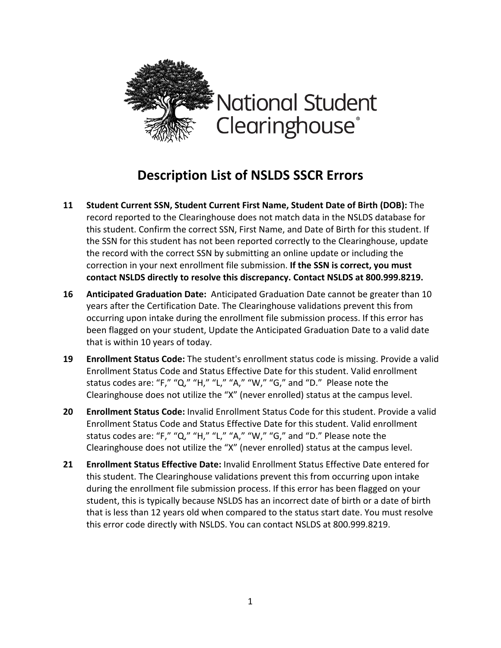

## **Description List of NSLDS SSCR Errors**

- **11 Student Current SSN, Student Current First Name, Student Date of Birth (DOB):** The record reported to the Clearinghouse does not match data in the NSLDS database for this student. Confirm the correct SSN, First Name, and Date of Birth for this student. If the SSN for this student has not been reported correctly to the Clearinghouse, update the record with the correct SSN by submitting an online update or including the correction in your next enrollment file submission. **If the SSN is correct, you must contact NSLDS directly to resolve this discrepancy. Contact NSLDS at 800.999.8219.**
- **16 Anticipated Graduation Date:** Anticipated Graduation Date cannot be greater than 10 years after the Certification Date. The Clearinghouse validations prevent this from occurring upon intake during the enrollment file submission process. If this error has been flagged on your student, Update the Anticipated Graduation Date to a valid date that is within 10 years of today.
- **19 Enrollment Status Code:** The student's enrollment status code is missing. Provide a valid Enrollment Status Code and Status Effective Date for this student. Valid enrollment status codes are: "F," "Q," "H," "L," "A," "W," "G," and "D." Please note the Clearinghouse does not utilize the "X" (never enrolled) status at the campus level.
- **20 Enrollment Status Code:** Invalid Enrollment Status Code for this student. Provide a valid Enrollment Status Code and Status Effective Date for this student. Valid enrollment status codes are: "F," "Q," "H," "L," "A," "W," "G," and "D." Please note the Clearinghouse does not utilize the "X" (never enrolled) status at the campus level.
- **21 Enrollment Status Effective Date:** Invalid Enrollment Status Effective Date entered for this student. The Clearinghouse validations prevent this from occurring upon intake during the enrollment file submission process. If this error has been flagged on your student, this is typically because NSLDS has an incorrect date of birth or a date of birth that is less than 12 years old when compared to the status start date. You must resolve this error code directly with NSLDS. You can contact NSLDS at 800.999.8219.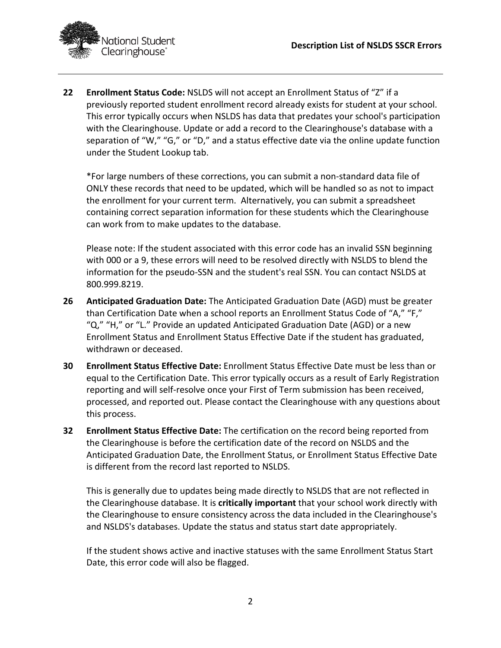

**22 Enrollment Status Code:** NSLDS will not accept an Enrollment Status of "Z" if a previously reported student enrollment record already exists for student at your school. This error typically occurs when NSLDS has data that predates your school's participation with the Clearinghouse. Update or add a record to the Clearinghouse's database with a separation of "W," "G," or "D," and a status effective date via the online update function under the Student Lookup tab.

\*For large numbers of these corrections, you can submit a non-standard data file of ONLY these records that need to be updated, which will be handled so as not to impact the enrollment for your current term. Alternatively, you can submit a spreadsheet containing correct separation information for these students which the Clearinghouse can work from to make updates to the database.

Please note: If the student associated with this error code has an invalid SSN beginning with 000 or a 9, these errors will need to be resolved directly with NSLDS to blend the information for the pseudo-SSN and the student's real SSN. You can contact NSLDS at 800.999.8219.

- **26 Anticipated Graduation Date:** The Anticipated Graduation Date (AGD) must be greater than Certification Date when a school reports an Enrollment Status Code of "A," "F," "Q," "H," or "L." Provide an updated Anticipated Graduation Date (AGD) or a new Enrollment Status and Enrollment Status Effective Date if the student has graduated, withdrawn or deceased.
- **30 Enrollment Status Effective Date:** Enrollment Status Effective Date must be less than or equal to the Certification Date. This error typically occurs as a result of Early Registration reporting and will self-resolve once your First of Term submission has been received, processed, and reported out. Please contact the Clearinghouse with any questions about this process.
- **32 Enrollment Status Effective Date:** The certification on the record being reported from the Clearinghouse is before the certification date of the record on NSLDS and the Anticipated Graduation Date, the Enrollment Status, or Enrollment Status Effective Date is different from the record last reported to NSLDS.

This is generally due to updates being made directly to NSLDS that are not reflected in the Clearinghouse database. It is **critically important** that your school work directly with the Clearinghouse to ensure consistency across the data included in the Clearinghouse's and NSLDS's databases. Update the status and status start date appropriately.

If the student shows active and inactive statuses with the same Enrollment Status Start Date, this error code will also be flagged.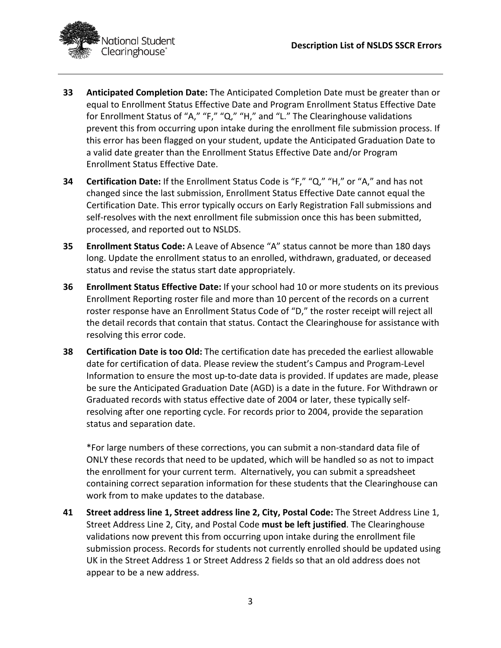

- **33 Anticipated Completion Date:** The Anticipated Completion Date must be greater than or equal to Enrollment Status Effective Date and Program Enrollment Status Effective Date for Enrollment Status of "A," "F," "Q," "H," and "L." The Clearinghouse validations prevent this from occurring upon intake during the enrollment file submission process. If this error has been flagged on your student, update the Anticipated Graduation Date to a valid date greater than the Enrollment Status Effective Date and/or Program Enrollment Status Effective Date.
- **34 Certification Date:** If the Enrollment Status Code is "F," "Q," "H," or "A," and has not changed since the last submission, Enrollment Status Effective Date cannot equal the Certification Date. This error typically occurs on Early Registration Fall submissions and self-resolves with the next enrollment file submission once this has been submitted, processed, and reported out to NSLDS.
- **35 Enrollment Status Code:** A Leave of Absence "A" status cannot be more than 180 days long. Update the enrollment status to an enrolled, withdrawn, graduated, or deceased status and revise the status start date appropriately.
- **36 Enrollment Status Effective Date:** If your school had 10 or more students on its previous Enrollment Reporting roster file and more than 10 percent of the records on a current roster response have an Enrollment Status Code of "D," the roster receipt will reject all the detail records that contain that status. Contact the Clearinghouse for assistance with resolving this error code.
- **38 Certification Date is too Old:** The certification date has preceded the earliest allowable date for certification of data. Please review the student's Campus and Program-Level Information to ensure the most up-to-date data is provided. If updates are made, please be sure the Anticipated Graduation Date (AGD) is a date in the future. For Withdrawn or Graduated records with status effective date of 2004 or later, these typically selfresolving after one reporting cycle. For records prior to 2004, provide the separation status and separation date.

\*For large numbers of these corrections, you can submit a non-standard data file of ONLY these records that need to be updated, which will be handled so as not to impact the enrollment for your current term. Alternatively, you can submit a spreadsheet containing correct separation information for these students that the Clearinghouse can work from to make updates to the database.

**41 Street address line 1, Street address line 2, City, Postal Code:** The Street Address Line 1, Street Address Line 2, City, and Postal Code **must be left justified**. The Clearinghouse validations now prevent this from occurring upon intake during the enrollment file submission process. Records for students not currently enrolled should be updated using UK in the Street Address 1 or Street Address 2 fields so that an old address does not appear to be a new address.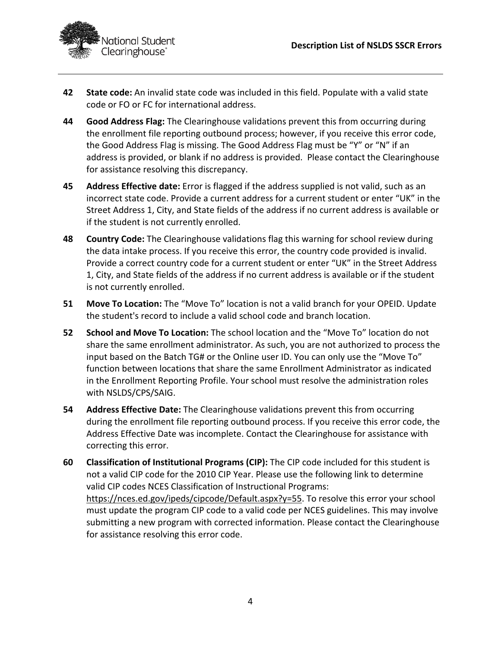

- **42 State code:** An invalid state code was included in this field. Populate with a valid state code or FO or FC for international address.
- **44 Good Address Flag:** The Clearinghouse validations prevent this from occurring during the enrollment file reporting outbound process; however, if you receive this error code, the Good Address Flag is missing. The Good Address Flag must be "Y" or "N" if an address is provided, or blank if no address is provided. Please contact the Clearinghouse for assistance resolving this discrepancy.
- **45 Address Effective date:** Error is flagged if the address supplied is not valid, such as an incorrect state code. Provide a current address for a current student or enter "UK" in the Street Address 1, City, and State fields of the address if no current address is available or if the student is not currently enrolled.
- **48 Country Code:** The Clearinghouse validations flag this warning for school review during the data intake process. If you receive this error, the country code provided is invalid. Provide a correct country code for a current student or enter "UK" in the Street Address 1, City, and State fields of the address if no current address is available or if the student is not currently enrolled.
- **51 Move To Location:** The "Move To" location is not a valid branch for your OPEID. Update the student's record to include a valid school code and branch location.
- **52 School and Move To Location:** The school location and the "Move To" location do not share the same enrollment administrator. As such, you are not authorized to process the input based on the Batch TG# or the Online user ID. You can only use the "Move To" function between locations that share the same Enrollment Administrator as indicated in the Enrollment Reporting Profile. Your school must resolve the administration roles with NSLDS/CPS/SAIG.
- **54 Address Effective Date:** The Clearinghouse validations prevent this from occurring during the enrollment file reporting outbound process. If you receive this error code, the Address Effective Date was incomplete. Contact the Clearinghouse for assistance with correcting this error.
- **60 Classification of Institutional Programs (CIP):** The CIP code included for this student is not a valid CIP code for the 2010 CIP Year. Please use the following link to determine valid CIP codes NCES Classification of Instructional Programs: https://nces.ed.gov/ipeds/cipcode/Default.aspx?y=55. To resolve this error your school must update the program CIP code to a valid code per NCES guidelines. This may involve submitting a new program with corrected information. Please contact the Clearinghouse for assistance resolving this error code.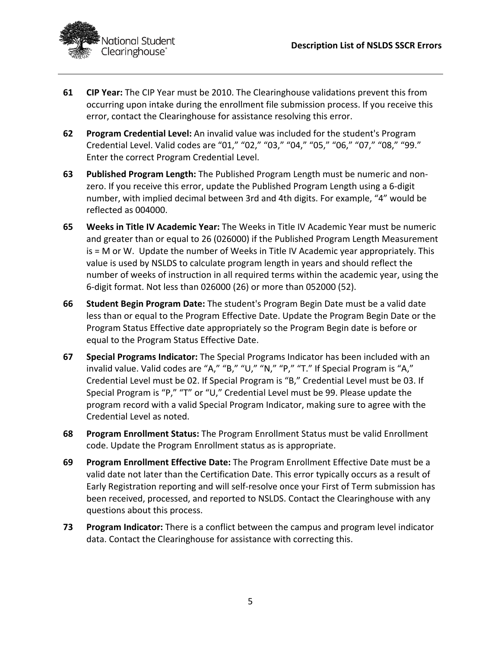

- **61 CIP Year:** The CIP Year must be 2010. The Clearinghouse validations prevent this from occurring upon intake during the enrollment file submission process. If you receive this error, contact the Clearinghouse for assistance resolving this error.
- **62 Program Credential Level:** An invalid value was included for the student's Program Credential Level. Valid codes are "01," "02," "03," "04," "05," "06," "07," "08," "99." Enter the correct Program Credential Level.
- **63 Published Program Length:** The Published Program Length must be numeric and nonzero. If you receive this error, update the Published Program Length using a 6-digit number, with implied decimal between 3rd and 4th digits. For example, "4" would be reflected as 004000.
- **65 Weeks in Title IV Academic Year:** The Weeks in Title IV Academic Year must be numeric and greater than or equal to 26 (026000) if the Published Program Length Measurement is = M or W. Update the number of Weeks in Title IV Academic year appropriately. This value is used by NSLDS to calculate program length in years and should reflect the number of weeks of instruction in all required terms within the academic year, using the 6-digit format. Not less than 026000 (26) or more than 052000 (52).
- **66 Student Begin Program Date:** The student's Program Begin Date must be a valid date less than or equal to the Program Effective Date. Update the Program Begin Date or the Program Status Effective date appropriately so the Program Begin date is before or equal to the Program Status Effective Date.
- **67 Special Programs Indicator:** The Special Programs Indicator has been included with an invalid value. Valid codes are "A," "B," "U," "N," "P," "T." If Special Program is "A," Credential Level must be 02. If Special Program is "B," Credential Level must be 03. If Special Program is "P," "T" or "U," Credential Level must be 99. Please update the program record with a valid Special Program Indicator, making sure to agree with the Credential Level as noted.
- **68 Program Enrollment Status:** The Program Enrollment Status must be valid Enrollment code. Update the Program Enrollment status as is appropriate.
- **69 Program Enrollment Effective Date:** The Program Enrollment Effective Date must be a valid date not later than the Certification Date. This error typically occurs as a result of Early Registration reporting and will self-resolve once your First of Term submission has been received, processed, and reported to NSLDS. Contact the Clearinghouse with any questions about this process.
- **73 Program Indicator:** There is a conflict between the campus and program level indicator data. Contact the Clearinghouse for assistance with correcting this.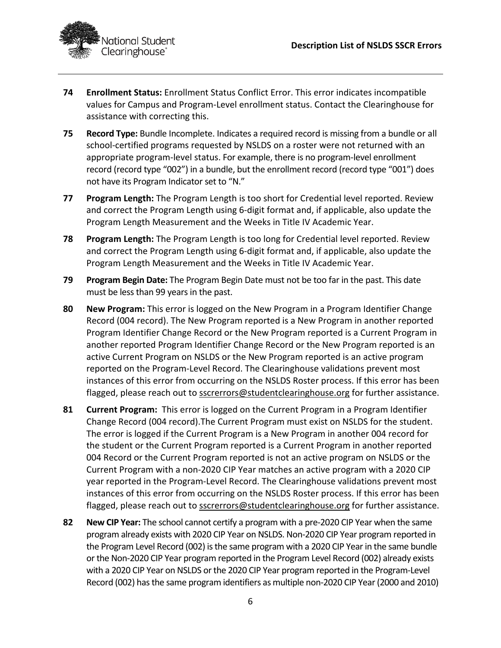

- **74 Enrollment Status:** Enrollment Status Conflict Error. This error indicates incompatible values for Campus and Program-Level enrollment status. Contact the Clearinghouse for assistance with correcting this.
- **75 Record Type:** Bundle Incomplete. Indicates a required record is missing from a bundle or all school-certified programs requested by NSLDS on a roster were not returned with an appropriate program-level status. For example, there is no program-level enrollment record (record type "002") in a bundle, but the enrollment record (record type "001") does not have its Program Indicator set to "N."
- **77 Program Length:** The Program Length is too short for Credential level reported. Review and correct the Program Length using 6-digit format and, if applicable, also update the Program Length Measurement and the Weeks in Title IV Academic Year.
- **78 Program Length:** The Program Length is too long for Credential level reported. Review and correct the Program Length using 6-digit format and, if applicable, also update the Program Length Measurement and the Weeks in Title IV Academic Year.
- **79 Program Begin Date:** The Program Begin Date must not be too far in the past. This date must be less than 99 years in the past.
- **80 New Program:** This error is logged on the New Program in a Program Identifier Change Record (004 record). The New Program reported is a New Program in another reported Program Identifier Change Record or the New Program reported is a Current Program in another reported Program Identifier Change Record or the New Program reported is an active Current Program on NSLDS or the New Program reported is an active program reported on the Program-Level Record. The Clearinghouse validations prevent most instances of this error from occurring on the NSLDS Roster process. If this error has been flagged, please reach out to sscrerrors@studentclearinghouse.org for further assistance.
- **81 Current Program:** This error is logged on the Current Program in a Program Identifier Change Record (004 record).The Current Program must exist on NSLDS for the student. The error is logged if the Current Program is a New Program in another 004 record for the student or the Current Program reported is a Current Program in another reported 004 Record or the Current Program reported is not an active program on NSLDS or the Current Program with a non-2020 CIP Year matches an active program with a 2020 CIP year reported in the Program-Level Record. The Clearinghouse validations prevent most instances of this error from occurring on the NSLDS Roster process. If this error has been flagged, please reach out to sscrerrors@studentclearinghouse.org for further assistance.
- **82 New CIP Year:** The school cannot certify a program with a pre-2020 CIP Year when the same program already exists with 2020 CIP Year on NSLDS. Non-2020 CIP Year program reported in the Program Level Record (002) is the same program with a 2020 CIP Year in the same bundle or the Non-2020 CIP Year program reported in the Program Level Record (002) already exists with a 2020 CIP Year on NSLDS or the 2020 CIP Year program reported in the Program-Level Record (002) has the same program identifiers as multiple non-2020 CIP Year (2000 and 2010)